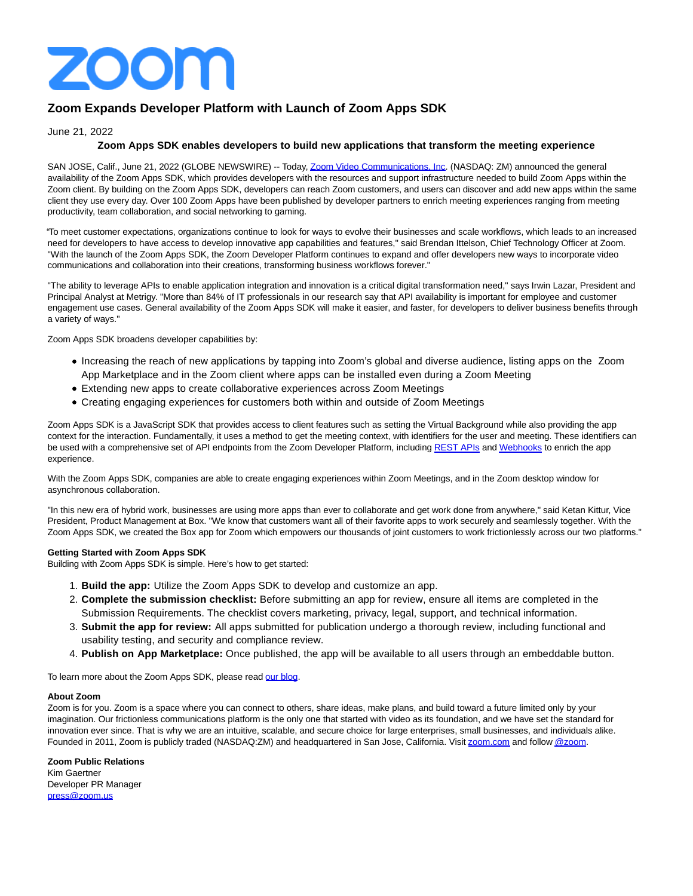

# **Zoom Expands Developer Platform with Launch of Zoom Apps SDK**

## June 21, 2022

## **Zoom Apps SDK enables developers to build new applications that transform the meeting experience**

SAN JOSE, Calif., June 21, 2022 (GLOBE NEWSWIRE) -- Today[, Zoom Video Communications, Inc.](https://www.globenewswire.com/Tracker?data=3RVJUcax4NP8sS1Hs4kiuKJm5m3Mu9pDRZr8DGe66BSaumYFSszK44iKve4DjDuTk4JdqCaSv4pev4YiDGqzvSJ4Kahl5Ajubr9tpcUxfj4=) (NASDAQ: ZM) announced the general availability of the Zoom Apps SDK, which provides developers with the resources and support infrastructure needed to build Zoom Apps within the Zoom client. By building on the Zoom Apps SDK, developers can reach Zoom customers, and users can discover and add new apps within the same client they use every day. Over 100 Zoom Apps have been published by developer partners to enrich meeting experiences ranging from meeting productivity, team collaboration, and social networking to gaming.

"To meet customer expectations, organizations continue to look for ways to evolve their businesses and scale workflows, which leads to an increased need for developers to have access to develop innovative app capabilities and features," said Brendan Ittelson, Chief Technology Officer at Zoom. "With the launch of the Zoom Apps SDK, the Zoom Developer Platform continues to expand and offer developers new ways to incorporate video communications and collaboration into their creations, transforming business workflows forever."

"The ability to leverage APIs to enable application integration and innovation is a critical digital transformation need," says Irwin Lazar, President and Principal Analyst at Metrigy. "More than 84% of IT professionals in our research say that API availability is important for employee and customer engagement use cases. General availability of the Zoom Apps SDK will make it easier, and faster, for developers to deliver business benefits through a variety of ways."

Zoom Apps SDK broadens developer capabilities by:

- Increasing the reach of new applications by tapping into Zoom's global and diverse audience, listing apps on the Zoom App Marketplace and in the Zoom client where apps can be installed even during a Zoom Meeting
- Extending new apps to create collaborative experiences across Zoom Meetings
- Creating engaging experiences for customers both within and outside of Zoom Meetings

Zoom Apps SDK is a JavaScript SDK that provides access to client features such as setting the Virtual Background while also providing the app context for the interaction. Fundamentally, it uses a method to get the meeting context, with identifiers for the user and meeting. These identifiers can be used with a comprehensive set of API endpoints from the Zoom Developer Platform, including [REST APIs a](https://www.globenewswire.com/Tracker?data=AkVNdpNCkT5B_u_oDEGLwKFDFr9nLKigZToB_Cvp2HhWvogUsy_wYqMbRqNVrJ3d1038WVfu3fhdfAdEK9br3xwpfJ9T4QVIbtgI9Do6GM8G92KXaUMX-CqaW0VT1_F8DztsRD6UF3HgxV5Wz-R5Ckvo1apQ4K_pEp6LBuBlMEaDYe7mhg_xX6aXo9Qf69W5BN24X2Ag5k0CRSVy2-LkDQ==)n[d Webhooks t](https://www.globenewswire.com/Tracker?data=yqWvIdk32Su6VPYFrqKw0vIukTuGnBE4MHR53yYSLmiVoOgw9Qu2XxyCdkWXpAyhgKlsEt55aXn8ucB0b6tq1Q6W5VHdFXYAEt_gm7zHV_LXrOwWxbcRCQUb3rRC2mbm-LuXnDi34q78Jcf3UbOe2cJOGpKddKjyinsrYwIe5MIYc9KlwItAOTsDDTFFqiuxMJBwbBixtNFnuS-N2VIE3tpJUc-_-dlwHcBQwXJ_10U=)o enrich the app experience.

With the Zoom Apps SDK, companies are able to create engaging experiences within Zoom Meetings, and in the Zoom desktop window for asynchronous collaboration.

"In this new era of hybrid work, businesses are using more apps than ever to collaborate and get work done from anywhere," said Ketan Kittur, Vice President, Product Management at Box. "We know that customers want all of their favorite apps to work securely and seamlessly together. With the Zoom Apps SDK, we created the Box app for Zoom which empowers our thousands of joint customers to work frictionlessly across our two platforms."

### **Getting Started with Zoom Apps SDK**

Building with Zoom Apps SDK is simple. Here's how to get started:

- 1. **Build the app:** Utilize the Zoom Apps SDK to develop and customize an app.
- **Complete the submission checklist:** Before submitting an app for review, ensure all items are completed in the 2. Submission Requirements. The checklist covers marketing, privacy, legal, support, and technical information.
- **Submit the app for review:** All apps submitted for publication undergo a thorough review, including functional and 3. usability testing, and security and compliance review.
- 4. **Publish on App Marketplace:** Once published, the app will be available to all users through an embeddable button.

To learn more about the Zoom Apps SDK, please read [our blog.](https://www.globenewswire.com/Tracker?data=Z08JpzvheRWWR-ynq5c4LHFWqrNddeOsLT8HNpStz1cZrdRhWt9s8NnNLWNQdaa6xh9ReCvlLQwjk57BcgGmWcu0znOfu1oxZSyilrlWt57fiJxg1TE4q3r4pscphA1Uw8WzmrAXZwu7q2Bn9WCvXanHLIO7Cb6Tqvpflw6cDp47RG8dgAocGMsrXwR0j_IyvAMLGtKBS2ArM_Q0pE2GvA==)

#### **About Zoom**

Zoom is for you. Zoom is a space where you can connect to others, share ideas, make plans, and build toward a future limited only by your imagination. Our frictionless communications platform is the only one that started with video as its foundation, and we have set the standard for innovation ever since. That is why we are an intuitive, scalable, and secure choice for large enterprises, small businesses, and individuals alike. Founded in 2011, Zoom is publicly traded (NASDAQ:ZM) and headquartered in San Jose, California. Visit [zoom.com a](https://www.globenewswire.com/Tracker?data=mPK1JXS-bPapRdW2dPQhajIurx1n3wsNtLJT__hDOOt1nNjOI09WmoqBT8WaDWCM4a0F5_-UDfV8CFIkRrbCA9RNcJlj3oNT_sRKHJ_1txN73EYl6uygZlalvu4l8DCMCu2YaSVeOaj5ZDAzFWhCgPJIE__gU-PX5OZ0CRcLuM4QcKHAMNu0Go3CkT0meYLP)nd follo[w @zoom.](https://www.globenewswire.com/Tracker?data=VwvSvuQcVtZau3RaQj_Ak-l8KwU-MUIt-r1itohhvnbcoqDmabdgTnrZNyhZB6us4jlf4cMpuq6__mfWIAspCaEDSfT4_V8S4bqKutEdmTzPyGSywncdMI6OggvCFkBxxsEpyxtT97f-FhYZMi2j3u7ZceilP2NYgDzsCMGZrul8JEfiGMSToH3b3qHIyU7OzGeafjmohjvcQSHa8G5pQw==)

### **Zoom Public Relations**

Kim Gaertner Developer PR Manager [press@zoom.us](https://www.globenewswire.com/Tracker?data=rooOUsYvxUz-XiNBvjiyB-CKn9GH6VJgETG-1e3e8wrzQmvi2gXRKX10ns698lBGBMqCdrIvGarNShPVXkQDDA==)